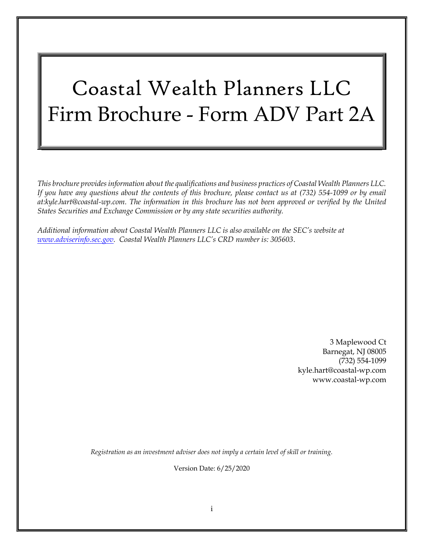# Coastal Wealth Planners LLC Firm Brochure - Form ADV Part 2A

This brochure provides information about the qualifications and business practices of Coastal Wealth Planners LLC. If you have any questions about the contents of this brochure, please contact us at (732) 554-1099 or by email at:kyle.hart@coastal-wp.com. The information in this brochure has not been approved or verified by the United States Securities and Exchange Commission or by any state securities authority.

Additional information about Coastal Wealth Planners LLC is also available on the SEC's website at www.adviserinfo.sec.gov. Coastal Wealth Planners LLC's CRD number is: 305603.

> 3 Maplewood Ct Barnegat, NJ 08005 (732) 554-1099 kyle.hart@coastal-wp.com www.coastal-wp.com

Registration as an investment adviser does not imply a certain level of skill or training.

Version Date: 6/25/2020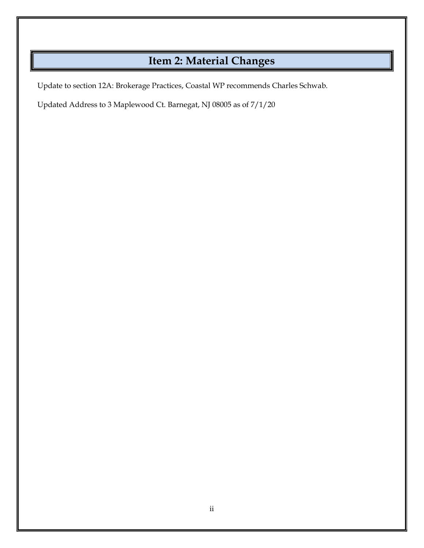# Item 2: Material Changes

Update to section 12A: Brokerage Practices, Coastal WP recommends Charles Schwab.

Updated Address to 3 Maplewood Ct. Barnegat, NJ 08005 as of 7/1/20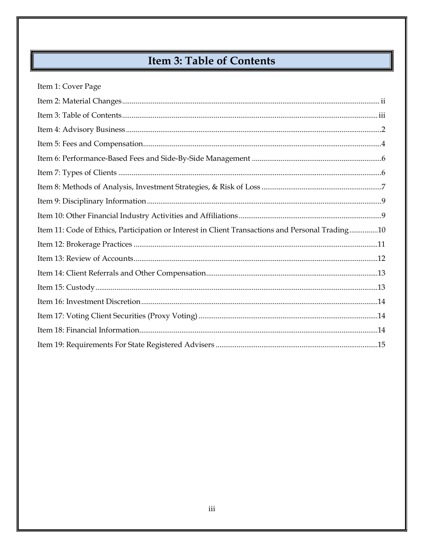# **Item 3: Table of Contents**

| Item 1: Cover Page                                                                               |  |
|--------------------------------------------------------------------------------------------------|--|
|                                                                                                  |  |
|                                                                                                  |  |
|                                                                                                  |  |
|                                                                                                  |  |
|                                                                                                  |  |
|                                                                                                  |  |
|                                                                                                  |  |
|                                                                                                  |  |
|                                                                                                  |  |
| Item 11: Code of Ethics, Participation or Interest in Client Transactions and Personal Trading10 |  |
|                                                                                                  |  |
|                                                                                                  |  |
|                                                                                                  |  |
|                                                                                                  |  |
|                                                                                                  |  |
|                                                                                                  |  |
|                                                                                                  |  |
|                                                                                                  |  |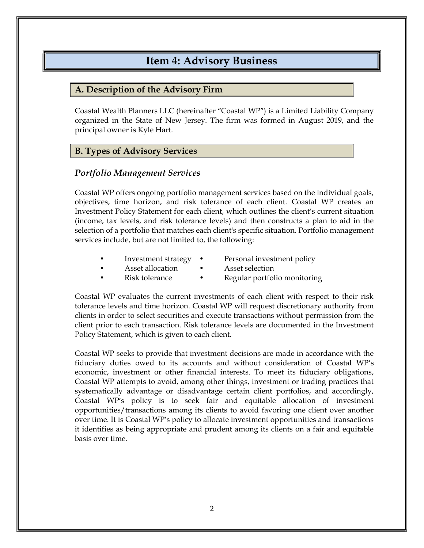# Item 4: Advisory Business

#### A. Description of the Advisory Firm

Coastal Wealth Planners LLC (hereinafter "Coastal WP") is a Limited Liability Company organized in the State of New Jersey. The firm was formed in August 2019, and the principal owner is Kyle Hart.

### B. Types of Advisory Services

#### Portfolio Management Services

Coastal WP offers ongoing portfolio management services based on the individual goals, objectives, time horizon, and risk tolerance of each client. Coastal WP creates an Investment Policy Statement for each client, which outlines the client's current situation (income, tax levels, and risk tolerance levels) and then constructs a plan to aid in the selection of a portfolio that matches each client's specific situation. Portfolio management services include, but are not limited to, the following:

- Investment strategy Personal investment policy
- Asset allocation Asset selection
	-
	-
- Risk tolerance Regular portfolio monitoring

Coastal WP evaluates the current investments of each client with respect to their risk tolerance levels and time horizon. Coastal WP will request discretionary authority from clients in order to select securities and execute transactions without permission from the client prior to each transaction. Risk tolerance levels are documented in the Investment Policy Statement, which is given to each client.

Coastal WP seeks to provide that investment decisions are made in accordance with the fiduciary duties owed to its accounts and without consideration of Coastal WP's economic, investment or other financial interests. To meet its fiduciary obligations, Coastal WP attempts to avoid, among other things, investment or trading practices that systematically advantage or disadvantage certain client portfolios, and accordingly, Coastal WP's policy is to seek fair and equitable allocation of investment opportunities/transactions among its clients to avoid favoring one client over another over time. It is Coastal WP's policy to allocate investment opportunities and transactions it identifies as being appropriate and prudent among its clients on a fair and equitable basis over time.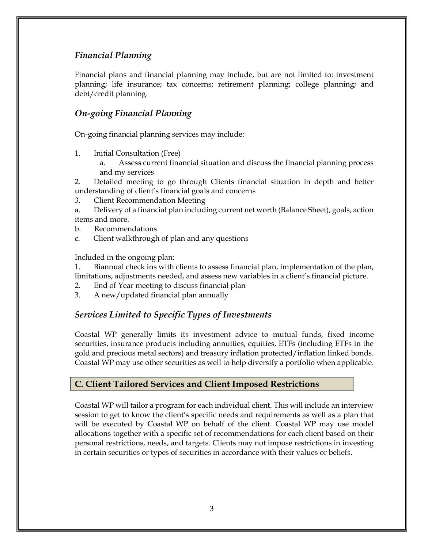# Financial Planning

Financial plans and financial planning may include, but are not limited to: investment planning; life insurance; tax concerns; retirement planning; college planning; and debt/credit planning.

# On-going Financial Planning

On-going financial planning services may include:

- 1. Initial Consultation (Free)
	- a. Assess current financial situation and discuss the financial planning process and my services

2. Detailed meeting to go through Clients financial situation in depth and better understanding of client's financial goals and concerns

3. Client Recommendation Meeting

a. Delivery of a financial plan including current net worth (Balance Sheet), goals, action items and more.

- b. Recommendations
- c. Client walkthrough of plan and any questions

Included in the ongoing plan:

1. Biannual check ins with clients to assess financial plan, implementation of the plan, limitations, adjustments needed, and assess new variables in a client's financial picture.

- 2. End of Year meeting to discuss financial plan
- 3. A new/updated financial plan annually

### Services Limited to Specific Types of Investments

Coastal WP generally limits its investment advice to mutual funds, fixed income securities, insurance products including annuities, equities, ETFs (including ETFs in the gold and precious metal sectors) and treasury inflation protected/inflation linked bonds. Coastal WP may use other securities as well to help diversify a portfolio when applicable.

### C. Client Tailored Services and Client Imposed Restrictions

Coastal WP will tailor a program for each individual client. This will include an interview session to get to know the client's specific needs and requirements as well as a plan that will be executed by Coastal WP on behalf of the client. Coastal WP may use model allocations together with a specific set of recommendations for each client based on their personal restrictions, needs, and targets. Clients may not impose restrictions in investing in certain securities or types of securities in accordance with their values or beliefs.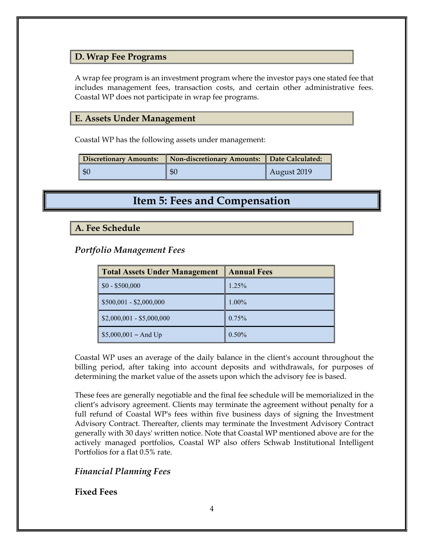#### D. Wrap Fee Programs

A wrap fee program is an investment program where the investor pays one stated fee that includes management fees, transaction costs, and certain other administrative fees. Coastal WP does not participate in wrap fee programs.

#### E. Assets Under Management

Coastal WP has the following assets under management:

| Discretionary Amounts: | Non-discretionary Amounts: Date Calculated: |                     |
|------------------------|---------------------------------------------|---------------------|
| l \$0                  | $\mathcal{L}$                               | $\vert$ August 2019 |

# Item 5: Fees and Compensation

#### A. Fee Schedule

#### Portfolio Management Fees

| <b>Total Assets Under Management</b> | <b>Annual Fees</b> |  |
|--------------------------------------|--------------------|--|
| $$0 - $500,000$                      | 1.25%              |  |
| $$500,001 - $2,000,000$              | $1.00\%$           |  |
| $$2,000,001 - $5,000,000$            | 0.75%              |  |
| $$5,000,001 - And Up$                | $0.50\%$           |  |

Coastal WP uses an average of the daily balance in the client's account throughout the billing period, after taking into account deposits and withdrawals, for purposes of determining the market value of the assets upon which the advisory fee is based.

These fees are generally negotiable and the final fee schedule will be memorialized in the client's advisory agreement. Clients may terminate the agreement without penalty for a full refund of Coastal WP's fees within five business days of signing the Investment Advisory Contract. Thereafter, clients may terminate the Investment Advisory Contract generally with 30 days' written notice. Note that Coastal WP mentioned above are for the actively managed portfolios, Coastal WP also offers Schwab Institutional Intelligent Portfolios for a flat 0.5% rate.

#### Financial Planning Fees

#### Fixed Fees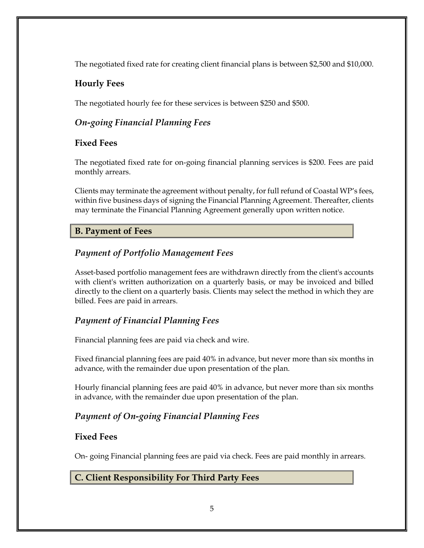The negotiated fixed rate for creating client financial plans is between \$2,500 and \$10,000.

# Hourly Fees

The negotiated hourly fee for these services is between \$250 and \$500.

# On-going Financial Planning Fees

### Fixed Fees

The negotiated fixed rate for on-going financial planning services is \$200. Fees are paid monthly arrears.

Clients may terminate the agreement without penalty, for full refund of Coastal WP's fees, within five business days of signing the Financial Planning Agreement. Thereafter, clients may terminate the Financial Planning Agreement generally upon written notice.

# B. Payment of Fees

# Payment of Portfolio Management Fees

Asset-based portfolio management fees are withdrawn directly from the client's accounts with client's written authorization on a quarterly basis, or may be invoiced and billed directly to the client on a quarterly basis. Clients may select the method in which they are billed. Fees are paid in arrears.

### Payment of Financial Planning Fees

Financial planning fees are paid via check and wire.

Fixed financial planning fees are paid 40% in advance, but never more than six months in advance, with the remainder due upon presentation of the plan.

Hourly financial planning fees are paid 40% in advance, but never more than six months in advance, with the remainder due upon presentation of the plan.

# Payment of On-going Financial Planning Fees

### Fixed Fees

On- going Financial planning fees are paid via check. Fees are paid monthly in arrears.

C. Client Responsibility For Third Party Fees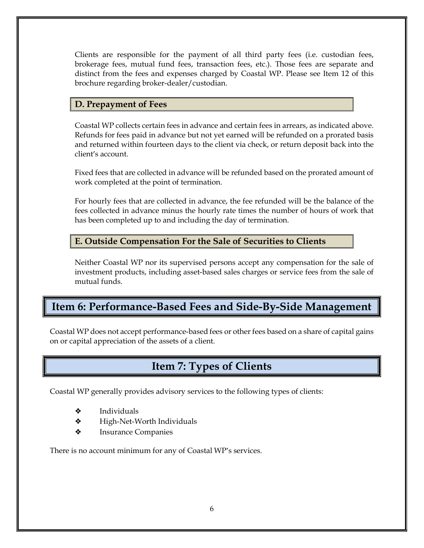Clients are responsible for the payment of all third party fees (i.e. custodian fees, brokerage fees, mutual fund fees, transaction fees, etc.). Those fees are separate and distinct from the fees and expenses charged by Coastal WP. Please see Item 12 of this brochure regarding broker-dealer/custodian.

### D. Prepayment of Fees

Coastal WP collects certain fees in advance and certain fees in arrears, as indicated above. Refunds for fees paid in advance but not yet earned will be refunded on a prorated basis and returned within fourteen days to the client via check, or return deposit back into the client's account.

Fixed fees that are collected in advance will be refunded based on the prorated amount of work completed at the point of termination.

For hourly fees that are collected in advance, the fee refunded will be the balance of the fees collected in advance minus the hourly rate times the number of hours of work that has been completed up to and including the day of termination.

### E. Outside Compensation For the Sale of Securities to Clients

Neither Coastal WP nor its supervised persons accept any compensation for the sale of investment products, including asset-based sales charges or service fees from the sale of mutual funds.

# Item 6: Performance-Based Fees and Side-By-Side Management

Coastal WP does not accept performance-based fees or other fees based on a share of capital gains on or capital appreciation of the assets of a client.

# Item 7: Types of Clients

Coastal WP generally provides advisory services to the following types of clients:

- ❖ Individuals
- ❖ High-Net-Worth Individuals
- ❖ Insurance Companies

There is no account minimum for any of Coastal WP's services.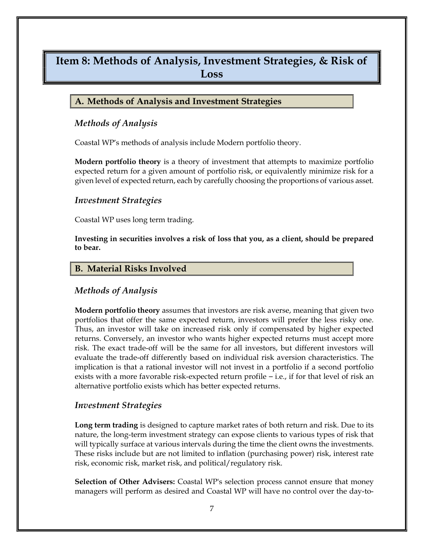# Item 8: Methods of Analysis, Investment Strategies, & Risk of Loss

#### A. Methods of Analysis and Investment Strategies

#### Methods of Analysis

Coastal WP's methods of analysis include Modern portfolio theory.

**Modern portfolio theory** is a theory of investment that attempts to maximize portfolio expected return for a given amount of portfolio risk, or equivalently minimize risk for a given level of expected return, each by carefully choosing the proportions of various asset.

#### Investment Strategies

Coastal WP uses long term trading.

Investing in securities involves a risk of loss that you, as a client, should be prepared to bear.

#### B. Material Risks Involved

#### Methods of Analysis

**Modern portfolio theory** assumes that investors are risk averse, meaning that given two portfolios that offer the same expected return, investors will prefer the less risky one. Thus, an investor will take on increased risk only if compensated by higher expected returns. Conversely, an investor who wants higher expected returns must accept more risk. The exact trade-off will be the same for all investors, but different investors will evaluate the trade-off differently based on individual risk aversion characteristics. The implication is that a rational investor will not invest in a portfolio if a second portfolio exists with a more favorable risk-expected return profile – i.e., if for that level of risk an alternative portfolio exists which has better expected returns.

#### Investment Strategies

Long term trading is designed to capture market rates of both return and risk. Due to its nature, the long-term investment strategy can expose clients to various types of risk that will typically surface at various intervals during the time the client owns the investments. These risks include but are not limited to inflation (purchasing power) risk, interest rate risk, economic risk, market risk, and political/regulatory risk.

Selection of Other Advisers: Coastal WP's selection process cannot ensure that money managers will perform as desired and Coastal WP will have no control over the day-to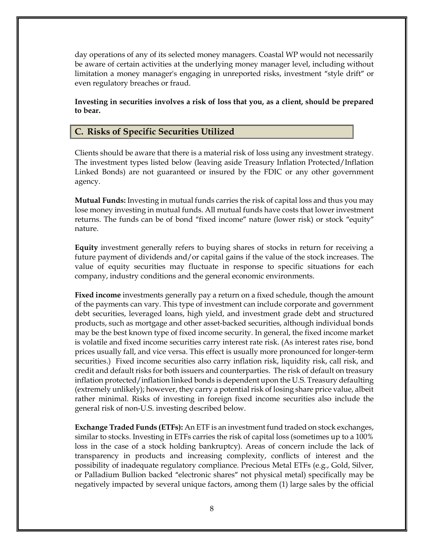day operations of any of its selected money managers. Coastal WP would not necessarily be aware of certain activities at the underlying money manager level, including without limitation a money manager's engaging in unreported risks, investment "style drift" or even regulatory breaches or fraud.

Investing in securities involves a risk of loss that you, as a client, should be prepared to bear.

#### C. Risks of Specific Securities Utilized

Clients should be aware that there is a material risk of loss using any investment strategy. The investment types listed below (leaving aside Treasury Inflation Protected/Inflation Linked Bonds) are not guaranteed or insured by the FDIC or any other government agency.

**Mutual Funds:** Investing in mutual funds carries the risk of capital loss and thus you may lose money investing in mutual funds. All mutual funds have costs that lower investment returns. The funds can be of bond "fixed income" nature (lower risk) or stock "equity" nature.

Equity investment generally refers to buying shares of stocks in return for receiving a future payment of dividends and/or capital gains if the value of the stock increases. The value of equity securities may fluctuate in response to specific situations for each company, industry conditions and the general economic environments.

**Fixed income** investments generally pay a return on a fixed schedule, though the amount of the payments can vary. This type of investment can include corporate and government debt securities, leveraged loans, high yield, and investment grade debt and structured products, such as mortgage and other asset-backed securities, although individual bonds may be the best known type of fixed income security. In general, the fixed income market is volatile and fixed income securities carry interest rate risk. (As interest rates rise, bond prices usually fall, and vice versa. This effect is usually more pronounced for longer-term securities.) Fixed income securities also carry inflation risk, liquidity risk, call risk, and credit and default risks for both issuers and counterparties. The risk of default on treasury inflation protected/inflation linked bonds is dependent upon the U.S. Treasury defaulting (extremely unlikely); however, they carry a potential risk of losing share price value, albeit rather minimal. Risks of investing in foreign fixed income securities also include the general risk of non-U.S. investing described below.

Exchange Traded Funds (ETFs): An ETF is an investment fund traded on stock exchanges, similar to stocks. Investing in ETFs carries the risk of capital loss (sometimes up to a 100% loss in the case of a stock holding bankruptcy). Areas of concern include the lack of transparency in products and increasing complexity, conflicts of interest and the possibility of inadequate regulatory compliance. Precious Metal ETFs (e.g., Gold, Silver, or Palladium Bullion backed "electronic shares" not physical metal) specifically may be negatively impacted by several unique factors, among them (1) large sales by the official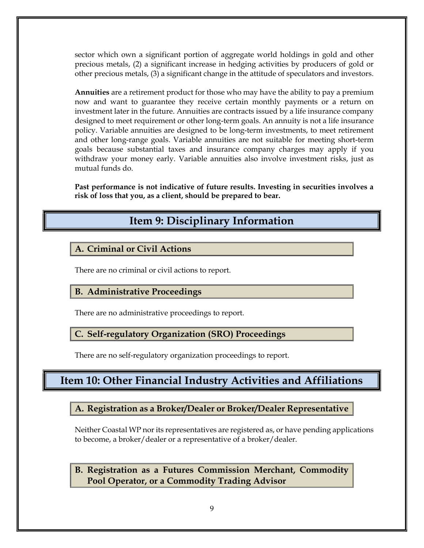sector which own a significant portion of aggregate world holdings in gold and other precious metals, (2) a significant increase in hedging activities by producers of gold or other precious metals, (3) a significant change in the attitude of speculators and investors.

**Annuities** are a retirement product for those who may have the ability to pay a premium now and want to guarantee they receive certain monthly payments or a return on investment later in the future. Annuities are contracts issued by a life insurance company designed to meet requirement or other long-term goals. An annuity is not a life insurance policy. Variable annuities are designed to be long-term investments, to meet retirement and other long-range goals. Variable annuities are not suitable for meeting short-term goals because substantial taxes and insurance company charges may apply if you withdraw your money early. Variable annuities also involve investment risks, just as mutual funds do.

Past performance is not indicative of future results. Investing in securities involves a risk of loss that you, as a client, should be prepared to bear.

# Item 9: Disciplinary Information

# A. Criminal or Civil Actions

There are no criminal or civil actions to report.

### B. Administrative Proceedings

There are no administrative proceedings to report.

#### C. Self-regulatory Organization (SRO) Proceedings

There are no self-regulatory organization proceedings to report.

# Item 10: Other Financial Industry Activities and Affiliations

### A. Registration as a Broker/Dealer or Broker/Dealer Representative

Neither Coastal WP nor its representatives are registered as, or have pending applications to become, a broker/dealer or a representative of a broker/dealer.

B. Registration as a Futures Commission Merchant, Commodity Pool Operator, or a Commodity Trading Advisor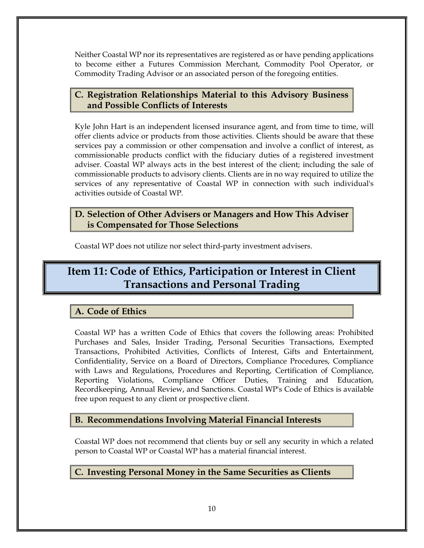Neither Coastal WP nor its representatives are registered as or have pending applications to become either a Futures Commission Merchant, Commodity Pool Operator, or Commodity Trading Advisor or an associated person of the foregoing entities.

# C. Registration Relationships Material to this Advisory Business and Possible Conflicts of Interests

Kyle John Hart is an independent licensed insurance agent, and from time to time, will offer clients advice or products from those activities. Clients should be aware that these services pay a commission or other compensation and involve a conflict of interest, as commissionable products conflict with the fiduciary duties of a registered investment adviser. Coastal WP always acts in the best interest of the client; including the sale of commissionable products to advisory clients. Clients are in no way required to utilize the services of any representative of Coastal WP in connection with such individual's activities outside of Coastal WP.

## D. Selection of Other Advisers or Managers and How This Adviser is Compensated for Those Selections

Coastal WP does not utilize nor select third-party investment advisers.

# Item 11: Code of Ethics, Participation or Interest in Client Transactions and Personal Trading

# A. Code of Ethics

Coastal WP has a written Code of Ethics that covers the following areas: Prohibited Purchases and Sales, Insider Trading, Personal Securities Transactions, Exempted Transactions, Prohibited Activities, Conflicts of Interest, Gifts and Entertainment, Confidentiality, Service on a Board of Directors, Compliance Procedures, Compliance with Laws and Regulations, Procedures and Reporting, Certification of Compliance, Reporting Violations, Compliance Officer Duties, Training and Education, Recordkeeping, Annual Review, and Sanctions. Coastal WP's Code of Ethics is available free upon request to any client or prospective client.

# B. Recommendations Involving Material Financial Interests

Coastal WP does not recommend that clients buy or sell any security in which a related person to Coastal WP or Coastal WP has a material financial interest.

# C. Investing Personal Money in the Same Securities as Clients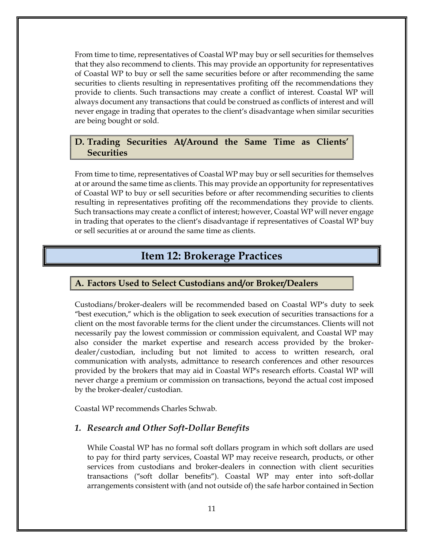From time to time, representatives of Coastal WP may buy or sell securities for themselves that they also recommend to clients. This may provide an opportunity for representatives of Coastal WP to buy or sell the same securities before or after recommending the same securities to clients resulting in representatives profiting off the recommendations they provide to clients. Such transactions may create a conflict of interest. Coastal WP will always document any transactions that could be construed as conflicts of interest and will never engage in trading that operates to the client's disadvantage when similar securities are being bought or sold.

#### D. Trading Securities At/Around the Same Time as Clients' **Securities**

From time to time, representatives of Coastal WP may buy or sell securities for themselves at or around the same time as clients. This may provide an opportunity for representatives of Coastal WP to buy or sell securities before or after recommending securities to clients resulting in representatives profiting off the recommendations they provide to clients. Such transactions may create a conflict of interest; however, Coastal WP will never engage in trading that operates to the client's disadvantage if representatives of Coastal WP buy or sell securities at or around the same time as clients.

# Item 12: Brokerage Practices

#### A. Factors Used to Select Custodians and/or Broker/Dealers

Custodians/broker-dealers will be recommended based on Coastal WP's duty to seek "best execution," which is the obligation to seek execution of securities transactions for a client on the most favorable terms for the client under the circumstances. Clients will not necessarily pay the lowest commission or commission equivalent, and Coastal WP may also consider the market expertise and research access provided by the brokerdealer/custodian, including but not limited to access to written research, oral communication with analysts, admittance to research conferences and other resources provided by the brokers that may aid in Coastal WP's research efforts. Coastal WP will never charge a premium or commission on transactions, beyond the actual cost imposed by the broker-dealer/custodian.

Coastal WP recommends Charles Schwab.

#### 1. Research and Other Soft-Dollar Benefits

While Coastal WP has no formal soft dollars program in which soft dollars are used to pay for third party services, Coastal WP may receive research, products, or other services from custodians and broker-dealers in connection with client securities transactions ("soft dollar benefits"). Coastal WP may enter into soft-dollar arrangements consistent with (and not outside of) the safe harbor contained in Section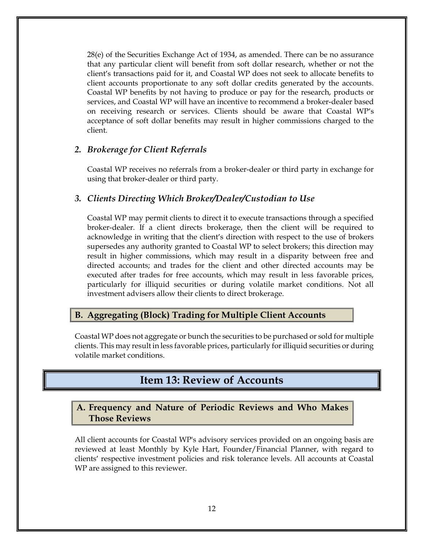28(e) of the Securities Exchange Act of 1934, as amended. There can be no assurance that any particular client will benefit from soft dollar research, whether or not the client's transactions paid for it, and Coastal WP does not seek to allocate benefits to client accounts proportionate to any soft dollar credits generated by the accounts. Coastal WP benefits by not having to produce or pay for the research, products or services, and Coastal WP will have an incentive to recommend a broker-dealer based on receiving research or services. Clients should be aware that Coastal WP's acceptance of soft dollar benefits may result in higher commissions charged to the client.

#### 2. Brokerage for Client Referrals

Coastal WP receives no referrals from a broker-dealer or third party in exchange for using that broker-dealer or third party.

#### 3. Clients Directing Which Broker/Dealer/Custodian to Use

Coastal WP may permit clients to direct it to execute transactions through a specified broker-dealer. If a client directs brokerage, then the client will be required to acknowledge in writing that the client's direction with respect to the use of brokers supersedes any authority granted to Coastal WP to select brokers; this direction may result in higher commissions, which may result in a disparity between free and directed accounts; and trades for the client and other directed accounts may be executed after trades for free accounts, which may result in less favorable prices, particularly for illiquid securities or during volatile market conditions. Not all investment advisers allow their clients to direct brokerage.

#### B. Aggregating (Block) Trading for Multiple Client Accounts

Coastal WP does not aggregate or bunch the securities to be purchased or sold for multiple clients. This may result in less favorable prices, particularly for illiquid securities or during volatile market conditions.

# Item 13: Review of Accounts

#### A. Frequency and Nature of Periodic Reviews and Who Makes Those Reviews

All client accounts for Coastal WP's advisory services provided on an ongoing basis are reviewed at least Monthly by Kyle Hart, Founder/Financial Planner, with regard to clients' respective investment policies and risk tolerance levels. All accounts at Coastal WP are assigned to this reviewer.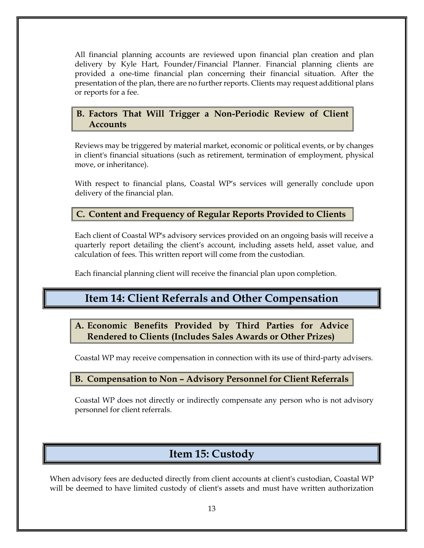All financial planning accounts are reviewed upon financial plan creation and plan delivery by Kyle Hart, Founder/Financial Planner. Financial planning clients are provided a one-time financial plan concerning their financial situation. After the presentation of the plan, there are no further reports. Clients may request additional plans or reports for a fee.

### B. Factors That Will Trigger a Non-Periodic Review of Client **Accounts**

Reviews may be triggered by material market, economic or political events, or by changes in client's financial situations (such as retirement, termination of employment, physical move, or inheritance).

With respect to financial plans, Coastal WP's services will generally conclude upon delivery of the financial plan.

# C. Content and Frequency of Regular Reports Provided to Clients

Each client of Coastal WP's advisory services provided on an ongoing basis will receive a quarterly report detailing the client's account, including assets held, asset value, and calculation of fees. This written report will come from the custodian.

Each financial planning client will receive the financial plan upon completion.

# Item 14: Client Referrals and Other Compensation

A. Economic Benefits Provided by Third Parties for Advice Rendered to Clients (Includes Sales Awards or Other Prizes)

Coastal WP may receive compensation in connection with its use of third-party advisers.

# B. Compensation to Non – Advisory Personnel for Client Referrals

Coastal WP does not directly or indirectly compensate any person who is not advisory personnel for client referrals.

# Item 15: Custody

When advisory fees are deducted directly from client accounts at client's custodian, Coastal WP will be deemed to have limited custody of client's assets and must have written authorization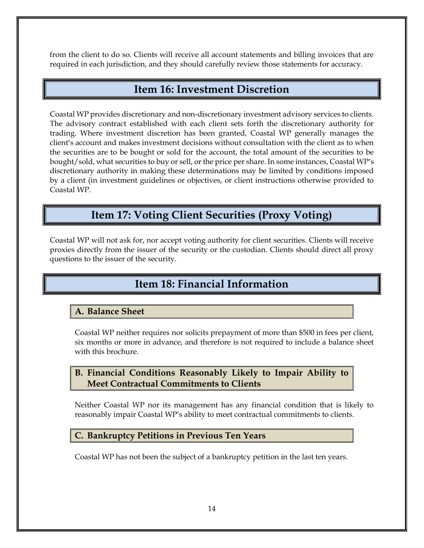from the client to do so. Clients will receive all account statements and billing invoices that are required in each jurisdiction, and they should carefully review those statements for accuracy.

# Item 16: Investment Discretion

Coastal WP provides discretionary and non-discretionary investment advisory services to clients. The advisory contract established with each client sets forth the discretionary authority for trading. Where investment discretion has been granted, Coastal WP generally manages the client's account and makes investment decisions without consultation with the client as to when the securities are to be bought or sold for the account, the total amount of the securities to be bought/sold, what securities to buy or sell, or the price per share. In some instances, Coastal WP's discretionary authority in making these determinations may be limited by conditions imposed by a client (in investment guidelines or objectives, or client instructions otherwise provided to Coastal WP.

# Item 17: Voting Client Securities (Proxy Voting)

Coastal WP will not ask for, nor accept voting authority for client securities. Clients will receive proxies directly from the issuer of the security or the custodian. Clients should direct all proxy questions to the issuer of the security.

# Item 18: Financial Information

### A. Balance Sheet

Coastal WP neither requires nor solicits prepayment of more than \$500 in fees per client, six months or more in advance, and therefore is not required to include a balance sheet with this brochure.

# B. Financial Conditions Reasonably Likely to Impair Ability to Meet Contractual Commitments to Clients

Neither Coastal WP nor its management has any financial condition that is likely to reasonably impair Coastal WP's ability to meet contractual commitments to clients.

### C. Bankruptcy Petitions in Previous Ten Years

Coastal WP has not been the subject of a bankruptcy petition in the last ten years.